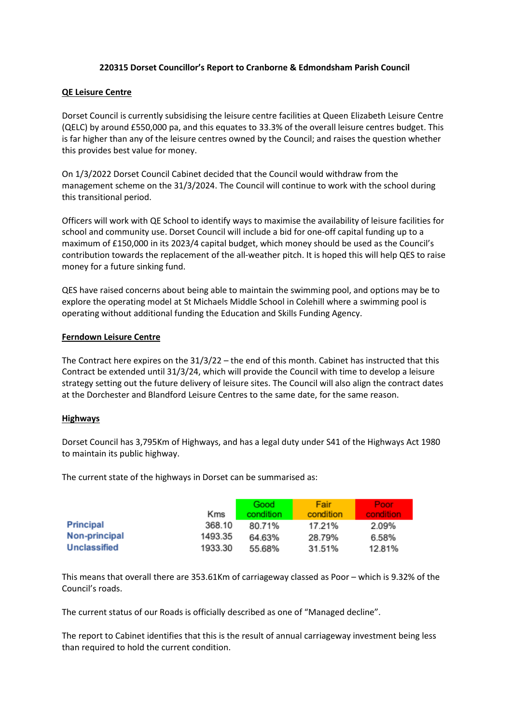## **220315 Dorset Councillor's Report to Cranborne & Edmondsham Parish Council**

## **QE Leisure Centre**

Dorset Council is currently subsidising the leisure centre facilities at Queen Elizabeth Leisure Centre (QELC) by around £550,000 pa, and this equates to 33.3% of the overall leisure centres budget. This is far higher than any of the leisure centres owned by the Council; and raises the question whether this provides best value for money.

On 1/3/2022 Dorset Council Cabinet decided that the Council would withdraw from the management scheme on the 31/3/2024. The Council will continue to work with the school during this transitional period.

Officers will work with QE School to identify ways to maximise the availability of leisure facilities for school and community use. Dorset Council will include a bid for one-off capital funding up to a maximum of £150,000 in its 2023/4 capital budget, which money should be used as the Council's contribution towards the replacement of the all-weather pitch. It is hoped this will help QES to raise money for a future sinking fund.

QES have raised concerns about being able to maintain the swimming pool, and options may be to explore the operating model at St Michaels Middle School in Colehill where a swimming pool is operating without additional funding the Education and Skills Funding Agency.

## **Ferndown Leisure Centre**

The Contract here expires on the 31/3/22 – the end of this month. Cabinet has instructed that this Contract be extended until 31/3/24, which will provide the Council with time to develop a leisure strategy setting out the future delivery of leisure sites. The Council will also align the contract dates at the Dorchester and Blandford Leisure Centres to the same date, for the same reason.

## **Highways**

Dorset Council has 3,795Km of Highways, and has a legal duty under S41 of the Highways Act 1980 to maintain its public highway.

The current state of the highways in Dorset can be summarised as:

|                  |         | Good      | Fair      | <b>Poor</b> |
|------------------|---------|-----------|-----------|-------------|
|                  | Kms     | condition | condition | condition   |
| <b>Principal</b> | 368.10  | 80.71%    | 17.21%    | 2.09%       |
| Non-principal    | 1493.35 | 64.63%    | 28.79%    | 6.58%       |
| Unclassified     | 1933.30 | 55.68%    | 31.51%    | 12.81%      |

This means that overall there are 353.61Km of carriageway classed as Poor – which is 9.32% of the Council's roads.

The current status of our Roads is officially described as one of "Managed decline".

The report to Cabinet identifies that this is the result of annual carriageway investment being less than required to hold the current condition.